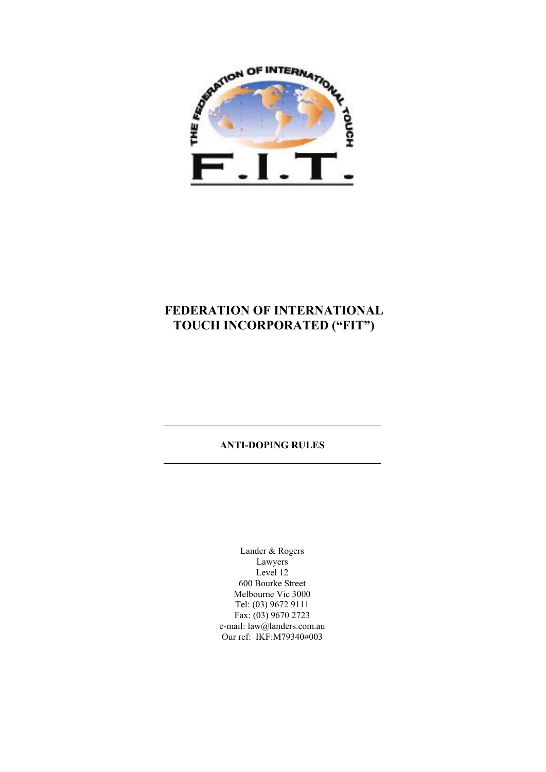

# **FEDERATION OF INTERNATIONAL TOUCH INCORPORATED ("FIT")**

# **ANTI-DOPING RULES**

Lander & Rogers Lawyers Level 12 600 Bourke Street Melbourne Vic 3000 Tel: (03) 9672 9111 Fax: (03) 9670 2723 e-mail: law@landers.com.au Our ref: IKF:M79340#003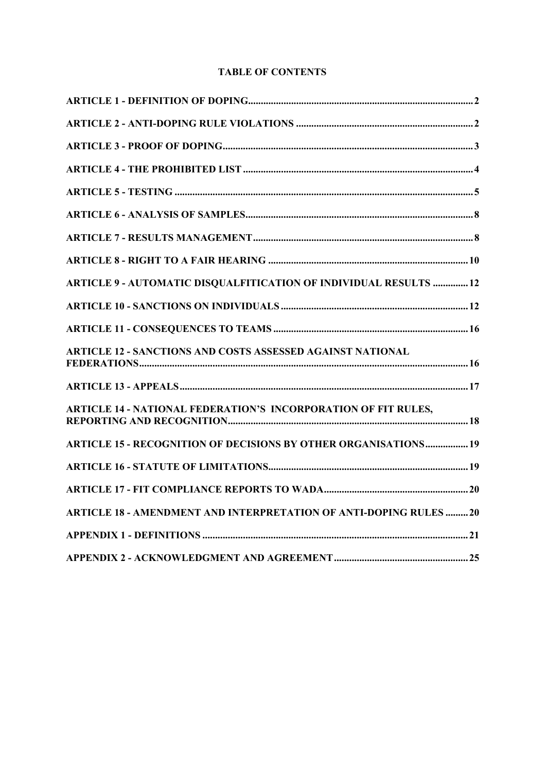# **TABLE OF CONTENTS**

| <b>ARTICLE 9 - AUTOMATIC DISQUALFITICATION OF INDIVIDUAL RESULTS  12</b>  |  |
|---------------------------------------------------------------------------|--|
|                                                                           |  |
|                                                                           |  |
| <b>ARTICLE 12 - SANCTIONS AND COSTS ASSESSED AGAINST NATIONAL</b>         |  |
|                                                                           |  |
| <b>ARTICLE 14 - NATIONAL FEDERATION'S INCORPORATION OF FIT RULES,</b>     |  |
| <b>ARTICLE 15 - RECOGNITION OF DECISIONS BY OTHER ORGANISATIONS 19</b>    |  |
|                                                                           |  |
|                                                                           |  |
| <b>ARTICLE 18 - AMENDMENT AND INTERPRETATION OF ANTI-DOPING RULES  20</b> |  |
|                                                                           |  |
|                                                                           |  |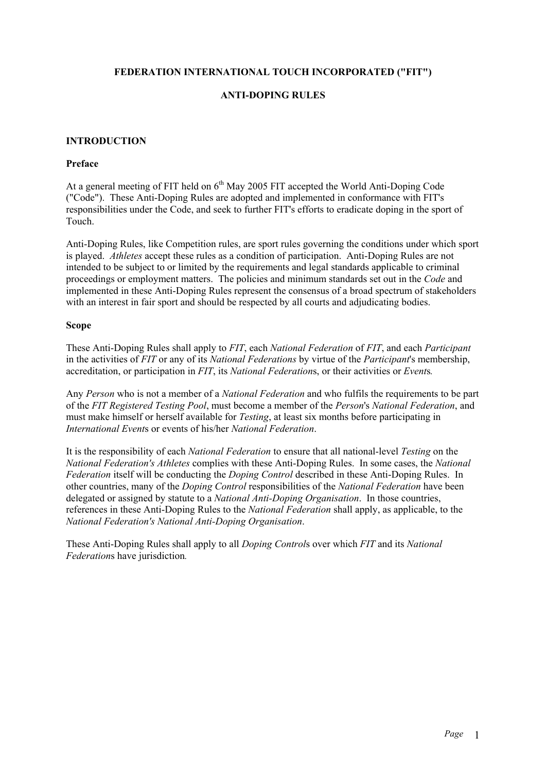### **FEDERATION INTERNATIONAL TOUCH INCORPORATED ("FIT")**

# **ANTI-DOPING RULES**

### **INTRODUCTION**

### **Preface**

At a general meeting of FIT held on  $6<sup>th</sup>$  May 2005 FIT accepted the World Anti-Doping Code ("Code"). These Anti-Doping Rules are adopted and implemented in conformance with FIT's responsibilities under the Code, and seek to further FIT's efforts to eradicate doping in the sport of Touch.

Anti-Doping Rules, like Competition rules, are sport rules governing the conditions under which sport is played. *Athletes* accept these rules as a condition of participation. Anti-Doping Rules are not intended to be subject to or limited by the requirements and legal standards applicable to criminal proceedings or employment matters. The policies and minimum standards set out in the *Code* and implemented in these Anti-Doping Rules represent the consensus of a broad spectrum of stakeholders with an interest in fair sport and should be respected by all courts and adjudicating bodies.

### **Scope**

These Anti-Doping Rules shall apply to *FIT*, each *National Federation* of *FIT*, and each *Participant*  in the activities of *FIT* or any of its *National Federations* by virtue of the *Participant*'s membership, accreditation, or participation in *FIT*, its *National Federation*s, or their activities or *Event*s*.* 

Any *Person* who is not a member of a *National Federation* and who fulfils the requirements to be part of the *FIT Registered Testing Pool*, must become a member of the *Person*'s *National Federation*, and must make himself or herself available for *Testing*, at least six months before participating in *International Event*s or events of his/her *National Federation*.

It is the responsibility of each *National Federation* to ensure that all national-level *Testing* on the *National Federation's Athletes* complies with these Anti-Doping Rules. In some cases, the *National Federation* itself will be conducting the *Doping Control* described in these Anti-Doping Rules. In other countries, many of the *Doping Control* responsibilities of the *National Federation* have been delegated or assigned by statute to a *National Anti-Doping Organisation*. In those countries, references in these Anti-Doping Rules to the *National Federation* shall apply, as applicable, to the *National Federation's National Anti-Doping Organisation*.

These Anti-Doping Rules shall apply to all *Doping Control*s over which *FIT* and its *National Federation*s have jurisdiction*.*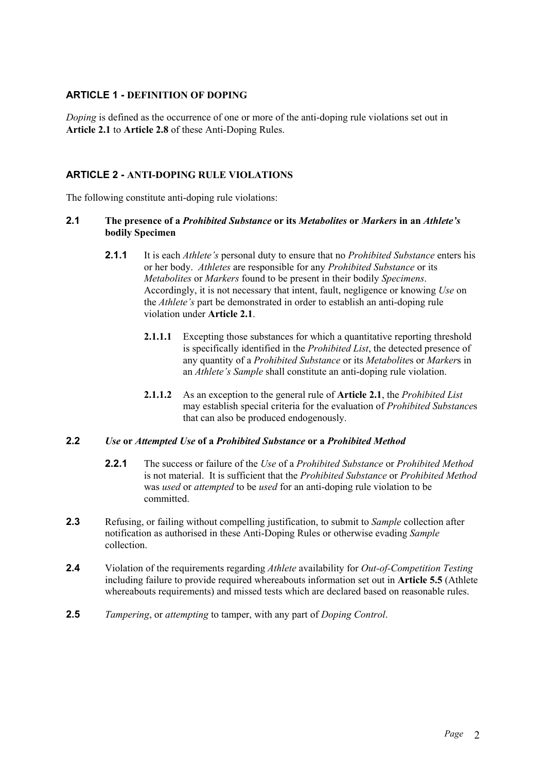# **ARTICLE 1 - DEFINITION OF DOPING**

*Doping* is defined as the occurrence of one or more of the anti-doping rule violations set out in **Article 2.1** to **Article 2.8** of these Anti-Doping Rules.

# **ARTICLE 2 - ANTI-DOPING RULE VIOLATIONS**

The following constitute anti-doping rule violations:

### **2.1 The presence of a** *Prohibited Substance* **or its** *Metabolites* **or** *Markers* **in an** *Athlete's* **bodily Specimen**

- **2.1.1** It is each *Athlete's* personal duty to ensure that no *Prohibited Substance* enters his or her body. *Athletes* are responsible for any *Prohibited Substance* or its *Metabolites* or *Markers* found to be present in their bodily *Specimens*. Accordingly, it is not necessary that intent, fault, negligence or knowing *Use* on the *Athlete's* part be demonstrated in order to establish an anti-doping rule violation under **Article 2.1**.
	- **2.1.1.1** Excepting those substances for which a quantitative reporting threshold is specifically identified in the *Prohibited List*, the detected presence of any quantity of a *Prohibited Substance* or its *Metabolite*s or *Marker*s in an *Athlete's Sample* shall constitute an anti-doping rule violation.
	- **2.1.1.2** As an exception to the general rule of **Article 2.1**, the *Prohibited List* may establish special criteria for the evaluation of *Prohibited Substance*s that can also be produced endogenously.

### **2.2** *Use* **or** *Attempted Use* **of a** *Prohibited Substance* **or a** *Prohibited Method*

- **2.2.1** The success or failure of the *Use* of a *Prohibited Substance* or *Prohibited Method* is not material. It is sufficient that the *Prohibited Substance* or *Prohibited Method* was *used* or *attempted* to be *used* for an anti-doping rule violation to be committed.
- **2.3** Refusing, or failing without compelling justification, to submit to *Sample* collection after notification as authorised in these Anti-Doping Rules or otherwise evading *Sample*  collection.
- **2.4** Violation of the requirements regarding *Athlete* availability for *Out-of-Competition Testing*  including failure to provide required whereabouts information set out in **Article 5.5** (Athlete whereabouts requirements) and missed tests which are declared based on reasonable rules.
- **2.5** *Tampering*, or *attempting* to tamper, with any part of *Doping Control*.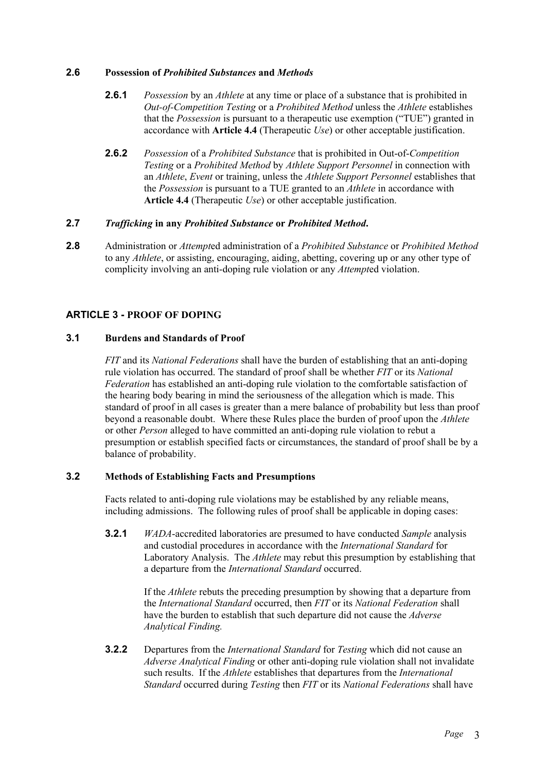### **2.6 Possession of** *Prohibited Substances* **and** *Methods*

- **2.6.1** *Possession* by an *Athlete* at any time or place of a substance that is prohibited in *Out-of-Competition Testing* or a *Prohibited Method* unless the *Athlete* establishes that the *Possession* is pursuant to a therapeutic use exemption ("TUE") granted in accordance with **Article 4.4** (Therapeutic *Use*) or other acceptable justification.
- **2.6.2** *Possession* of a *Prohibited Substance* that is prohibited in Out-of-*Competition Testing* or a *Prohibited Method* by *Athlete Support Personnel* in connection with an *Athlete*, *Event* or training, unless the *Athlete Support Personnel* establishes that the *Possession* is pursuant to a TUE granted to an *Athlete* in accordance with **Article 4.4** (Therapeutic *Use*) or other acceptable justification.

### **2.7** *Trafficking* **in any** *Prohibited Substance* **or** *Prohibited Method***.**

**2.8** Administration or *Attempt*ed administration of a *Prohibited Substance* or *Prohibited Method* to any *Athlete*, or assisting, encouraging, aiding, abetting, covering up or any other type of complicity involving an anti-doping rule violation or any *Attempt*ed violation.

# **ARTICLE 3 - PROOF OF DOPING**

### **3.1 Burdens and Standards of Proof**

*FIT* and its *National Federations* shall have the burden of establishing that an anti-doping rule violation has occurred. The standard of proof shall be whether *FIT* or its *National Federation* has established an anti-doping rule violation to the comfortable satisfaction of the hearing body bearing in mind the seriousness of the allegation which is made. This standard of proof in all cases is greater than a mere balance of probability but less than proof beyond a reasonable doubt. Where these Rules place the burden of proof upon the *Athlete* or other *Person* alleged to have committed an anti-doping rule violation to rebut a presumption or establish specified facts or circumstances, the standard of proof shall be by a balance of probability.

### **3.2 Methods of Establishing Facts and Presumptions**

Facts related to anti-doping rule violations may be established by any reliable means, including admissions. The following rules of proof shall be applicable in doping cases:

**3.2.1** *WADA*-accredited laboratories are presumed to have conducted *Sample* analysis and custodial procedures in accordance with the *International Standard* for Laboratory Analysis. The *Athlete* may rebut this presumption by establishing that a departure from the *International Standard* occurred.

> If the *Athlete* rebuts the preceding presumption by showing that a departure from the *International Standard* occurred, then *FIT* or its *National Federation* shall have the burden to establish that such departure did not cause the *Adverse Analytical Finding.*

**3.2.2** Departures from the *International Standard* for *Testing* which did not cause an *Adverse Analytical Finding* or other anti-doping rule violation shall not invalidate such results. If the *Athlete* establishes that departures from the *International Standard* occurred during *Testing* then *FIT* or its *National Federations* shall have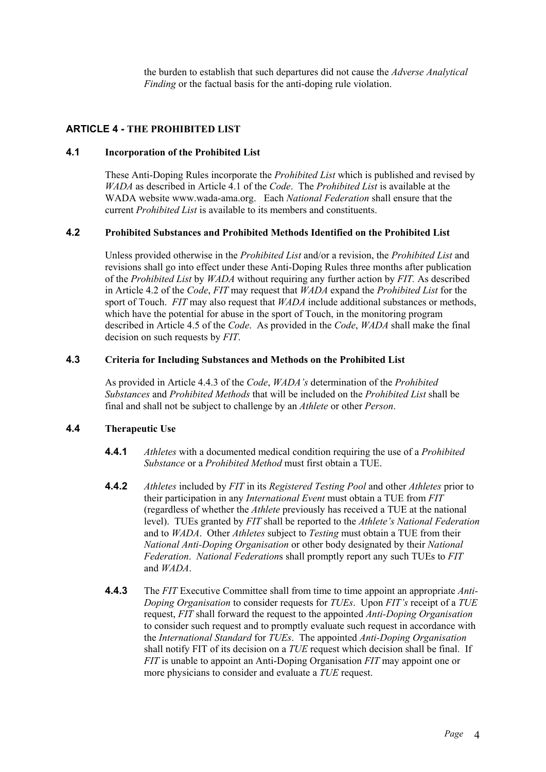the burden to establish that such departures did not cause the *Adverse Analytical Finding* or the factual basis for the anti-doping rule violation.

# **ARTICLE 4 - THE PROHIBITED LIST**

### **4.1 Incorporation of the Prohibited List**

These Anti-Doping Rules incorporate the *Prohibited List* which is published and revised by *WADA* as described in Article 4.1 of the *Code*. The *Prohibited List* is available at the WADA website www.wada-ama.org. Each *National Federation* shall ensure that the current *Prohibited List* is available to its members and constituents.

### **4.2 Prohibited Substances and Prohibited Methods Identified on the Prohibited List**

Unless provided otherwise in the *Prohibited List* and/or a revision, the *Prohibited List* and revisions shall go into effect under these Anti-Doping Rules three months after publication of the *Prohibited List* by *WADA* without requiring any further action by *FIT.* As described in Article 4.2 of the *Code*, *FIT* may request that *WADA* expand the *Prohibited List* for the sport of Touch. *FIT* may also request that *WADA* include additional substances or methods, which have the potential for abuse in the sport of Touch, in the monitoring program described in Article 4.5 of the *Code*. As provided in the *Code*, *WADA* shall make the final decision on such requests by *FIT*.

### **4.3 Criteria for Including Substances and Methods on the Prohibited List**

As provided in Article 4.4.3 of the *Code*, *WADA's* determination of the *Prohibited Substances* and *Prohibited Methods* that will be included on the *Prohibited List* shall be final and shall not be subject to challenge by an *Athlete* or other *Person*.

# **4.4 Therapeutic Use**

- **4.4.1** *Athletes* with a documented medical condition requiring the use of a *Prohibited Substance* or a *Prohibited Method* must first obtain a TUE.
- **4.4.2** *Athletes* included by *FIT* in its *Registered Testing Pool* and other *Athletes* prior to their participation in any *International Event* must obtain a TUE from *FIT* (regardless of whether the *Athlete* previously has received a TUE at the national level). TUEs granted by *FIT* shall be reported to the *Athlete's National Federation* and to *WADA*. Other *Athletes* subject to *Testing* must obtain a TUE from their *National Anti-Doping Organisation* or other body designated by their *National Federation*. *National Federation*s shall promptly report any such TUEs to *FIT* and *WADA*.
- **4.4.3** The *FIT* Executive Committee shall from time to time appoint an appropriate *Anti-Doping Organisation* to consider requests for *TUEs*. Upon *FIT's* receipt of a *TUE* request, *FIT* shall forward the request to the appointed *Anti-Doping Organisation* to consider such request and to promptly evaluate such request in accordance with the *International Standard* for *TUEs*. The appointed *Anti-Doping Organisation* shall notify FIT of its decision on a *TUE* request which decision shall be final. If *FIT* is unable to appoint an Anti-Doping Organisation *FIT* may appoint one or more physicians to consider and evaluate a *TUE* request.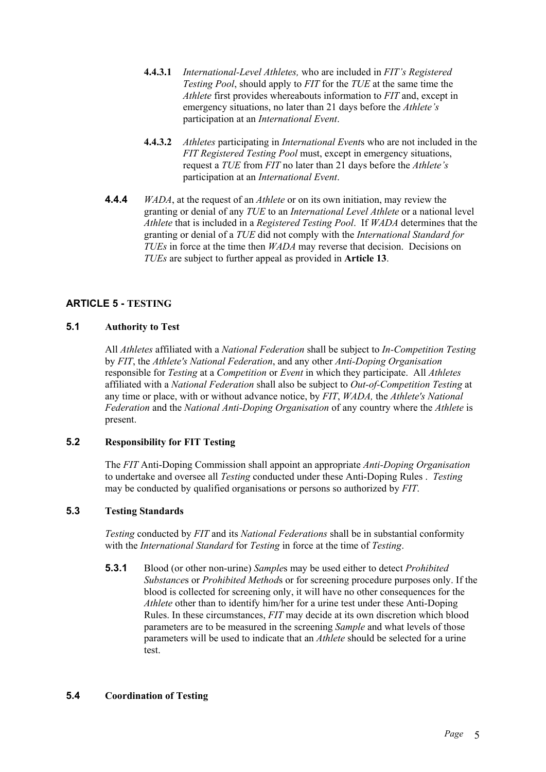- **4.4.3.1** *International-Level Athletes,* who are included in *FIT's Registered Testing Pool*, should apply to *FIT* for the *TUE* at the same time the *Athlete* first provides whereabouts information to *FIT* and, except in emergency situations, no later than 21 days before the *Athlete's* participation at an *International Event*.
- **4.4.3.2** *Athletes* participating in *International Event*s who are not included in the *FIT Registered Testing Pool* must, except in emergency situations, request a *TUE* from *FIT* no later than 21 days before the *Athlete's* participation at an *International Event*.
- **4.4.4** *WADA*, at the request of an *Athlete* or on its own initiation, may review the granting or denial of any *TUE* to an *International Level Athlete* or a national level *Athlete* that is included in a *Registered Testing Pool*. If *WADA* determines that the granting or denial of a *TUE* did not comply with the *International Standard for TUEs* in force at the time then *WADA* may reverse that decision. Decisions on *TUEs* are subject to further appeal as provided in **Article 13**.

# **ARTICLE 5 - TESTING**

# **5.1 Authority to Test**

All *Athletes* affiliated with a *National Federation* shall be subject to *In-Competition Testing* by *FIT*, the *Athlete's National Federation*, and any other *Anti-Doping Organisation* responsible for *Testing* at a *Competition* or *Event* in which they participate. All *Athletes* affiliated with a *National Federation* shall also be subject to *Out-of-Competition Testing* at any time or place, with or without advance notice, by *FIT*, *WADA,* the *Athlete's National Federation* and the *National Anti-Doping Organisation* of any country where the *Athlete* is present.

# **5.2 Responsibility for FIT Testing**

The *FIT* Anti-Doping Commission shall appoint an appropriate *Anti-Doping Organisation* to undertake and oversee all *Testing* conducted under these Anti-Doping Rules . *Testing* may be conducted by qualified organisations or persons so authorized by *FIT*.

# **5.3 Testing Standards**

*Testing* conducted by *FIT* and its *National Federations* shall be in substantial conformity with the *International Standard* for *Testing* in force at the time of *Testing*.

**5.3.1** Blood (or other non-urine) *Sample*s may be used either to detect *Prohibited Substance*s or *Prohibited Method*s or for screening procedure purposes only. If the blood is collected for screening only, it will have no other consequences for the *Athlete* other than to identify him/her for a urine test under these Anti-Doping Rules. In these circumstances, *FIT* may decide at its own discretion which blood parameters are to be measured in the screening *Sample* and what levels of those parameters will be used to indicate that an *Athlete* should be selected for a urine test.

# **5.4 Coordination of Testing**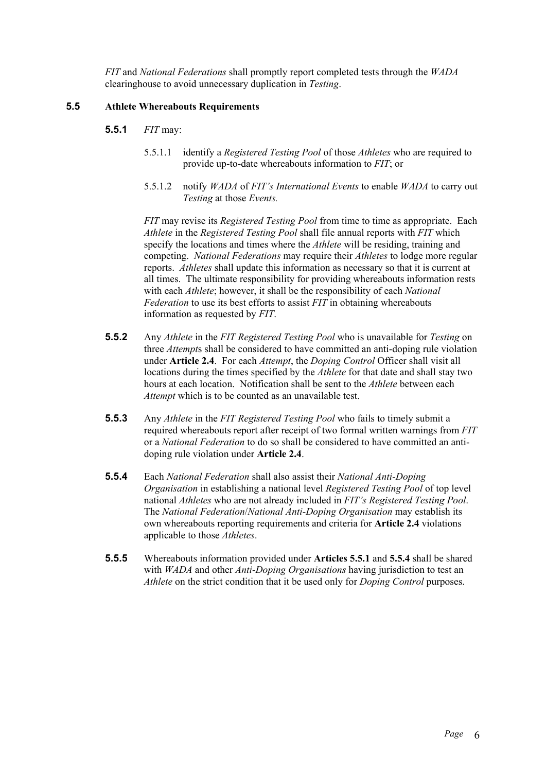*FIT* and *National Federations* shall promptly report completed tests through the *WADA* clearinghouse to avoid unnecessary duplication in *Testing*.

### **5.5 Athlete Whereabouts Requirements**

- **5.5.1** *FIT* may:
	- 5.5.1.1 identify a *Registered Testing Pool* of those *Athletes* who are required to provide up-to-date whereabouts information to *FIT*; or
	- 5.5.1.2 notify *WADA* of *FIT's International Events* to enable *WADA* to carry out *Testing* at those *Events.*

*FIT* may revise its *Registered Testing Pool* from time to time as appropriate. Each *Athlete* in the *Registered Testing Pool* shall file annual reports with *FIT* which specify the locations and times where the *Athlete* will be residing, training and competing. *National Federations* may require their *Athletes* to lodge more regular reports. *Athletes* shall update this information as necessary so that it is current at all times. The ultimate responsibility for providing whereabouts information rests with each *Athlete*; however, it shall be the responsibility of each *National Federation* to use its best efforts to assist *FIT* in obtaining whereabouts information as requested by *FIT*.

- **5.5.2** Any *Athlete* in the *FIT Registered Testing Pool* who is unavailable for *Testing* on three *Attempt*s shall be considered to have committed an anti-doping rule violation under **Article 2.4**. For each *Attempt*, the *Doping Control* Officer shall visit all locations during the times specified by the *Athlete* for that date and shall stay two hours at each location. Notification shall be sent to the *Athlete* between each *Attempt* which is to be counted as an unavailable test.
- **5.5.3** Any *Athlete* in the *FIT Registered Testing Pool* who fails to timely submit a required whereabouts report after receipt of two formal written warnings from *FIT* or a *National Federation* to do so shall be considered to have committed an antidoping rule violation under **Article 2.4**.
- **5.5.4** Each *National Federation* shall also assist their *National Anti-Doping Organisation* in establishing a national level *Registered Testing Pool* of top level national *Athletes* who are not already included in *FIT's Registered Testing Pool*. The *National Federation*/*National Anti-Doping Organisation* may establish its own whereabouts reporting requirements and criteria for **Article 2.4** violations applicable to those *Athletes*.
- **5.5.5** Whereabouts information provided under **Articles 5.5.1** and **5.5.4** shall be shared with *WADA* and other *Anti-Doping Organisations* having jurisdiction to test an *Athlete* on the strict condition that it be used only for *Doping Control* purposes.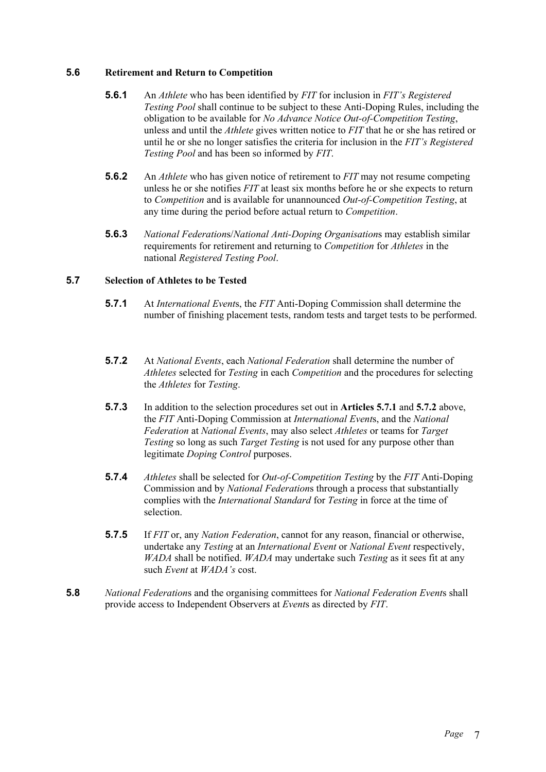### **5.6 Retirement and Return to Competition**

- **5.6.1** An *Athlete* who has been identified by *FIT* for inclusion in *FIT's Registered Testing Pool* shall continue to be subject to these Anti-Doping Rules, including the obligation to be available for *No Advance Notice Out-of-Competition Testing*, unless and until the *Athlete* gives written notice to *FIT* that he or she has retired or until he or she no longer satisfies the criteria for inclusion in the *FIT's Registered Testing Pool* and has been so informed by *FIT*.
- **5.6.2** An *Athlete* who has given notice of retirement to *FIT* may not resume competing unless he or she notifies *FIT* at least six months before he or she expects to return to *Competition* and is available for unannounced *Out-of-Competition Testing*, at any time during the period before actual return to *Competition*.
- **5.6.3** *National Federation*s/*National Anti-Doping Organisation*s may establish similar requirements for retirement and returning to *Competition* for *Athletes* in the national *Registered Testing Pool*.

### **5.7 Selection of Athletes to be Tested**

- **5.7.1** At *International Event*s, the *FIT* Anti-Doping Commission shall determine the number of finishing placement tests, random tests and target tests to be performed.
- **5.7.2** At *National Events*, each *National Federation* shall determine the number of *Athletes* selected for *Testing* in each *Competition* and the procedures for selecting the *Athletes* for *Testing*.
- **5.7.3** In addition to the selection procedures set out in **Articles 5.7.1** and **5.7.2** above, the *FIT* Anti-Doping Commission at *International Event*s, and the *National Federation* at *National Events*, may also select *Athletes* or teams for *Target Testing* so long as such *Target Testing* is not used for any purpose other than legitimate *Doping Control* purposes.
- **5.7.4** *Athletes* shall be selected for *Out-of-Competition Testing* by the *FIT* Anti-Doping Commission and by *National Federation*s through a process that substantially complies with the *International Standard* for *Testing* in force at the time of selection.
- **5.7.5** If *FIT* or, any *Nation Federation*, cannot for any reason, financial or otherwise, undertake any *Testing* at an *International Event* or *National Event* respectively, *WADA* shall be notified. *WADA* may undertake such *Testing* as it sees fit at any such *Event* at *WADA's* cost.
- **5.8** *National Federation*s and the organising committees for *National Federation Event*s shall provide access to Independent Observers at *Event*s as directed by *FIT*.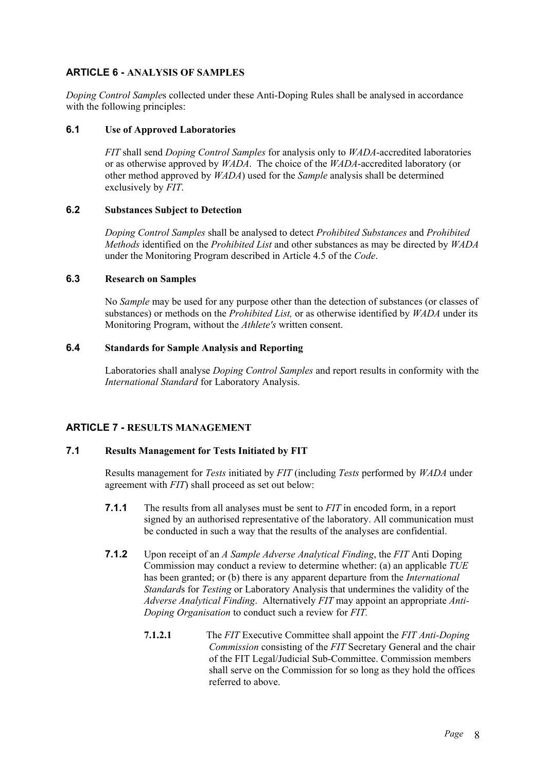# **ARTICLE 6 - ANALYSIS OF SAMPLES**

*Doping Control Sample*s collected under these Anti-Doping Rules shall be analysed in accordance with the following principles:

### **6.1 Use of Approved Laboratories**

*FIT* shall send *Doping Control Samples* for analysis only to *WADA*-accredited laboratories or as otherwise approved by *WADA*. The choice of the *WADA*-accredited laboratory (or other method approved by *WADA*) used for the *Sample* analysis shall be determined exclusively by *FIT*.

# **6.2 Substances Subject to Detection**

*Doping Control Samples* shall be analysed to detect *Prohibited Substances* and *Prohibited Methods* identified on the *Prohibited List* and other substances as may be directed by *WADA* under the Monitoring Program described in Article 4.5 of the *Code*.

### **6.3 Research on Samples**

No *Sample* may be used for any purpose other than the detection of substances (or classes of substances) or methods on the *Prohibited List,* or as otherwise identified by *WADA* under its Monitoring Program, without the *Athlete's* written consent.

### **6.4 Standards for Sample Analysis and Reporting**

Laboratories shall analyse *Doping Control Samples* and report results in conformity with the *International Standard* for Laboratory Analysis.

# **ARTICLE 7 - RESULTS MANAGEMENT**

# **7.1 Results Management for Tests Initiated by FIT**

Results management for *Tests* initiated by *FIT* (including *Tests* performed by *WADA* under agreement with *FIT*) shall proceed as set out below:

- **7.1.1** The results from all analyses must be sent to *FIT* in encoded form, in a report signed by an authorised representative of the laboratory. All communication must be conducted in such a way that the results of the analyses are confidential.
- **7.1.2** Upon receipt of an *A Sample Adverse Analytical Finding*, the *FIT* Anti Doping Commission may conduct a review to determine whether: (a) an applicable *TUE* has been granted; or (b) there is any apparent departure from the *International Standard*s for *Testing* or Laboratory Analysis that undermines the validity of the *Adverse Analytical Finding*. Alternatively *FIT* may appoint an appropriate *Anti-Doping Organisation* to conduct such a review for *FIT.*
	- **7.1.2.1** The *FIT* Executive Committee shall appoint the *FIT Anti-Doping Commission* consisting of the *FIT* Secretary General and the chair of the FIT Legal/Judicial Sub-Committee. Commission members shall serve on the Commission for so long as they hold the offices referred to above.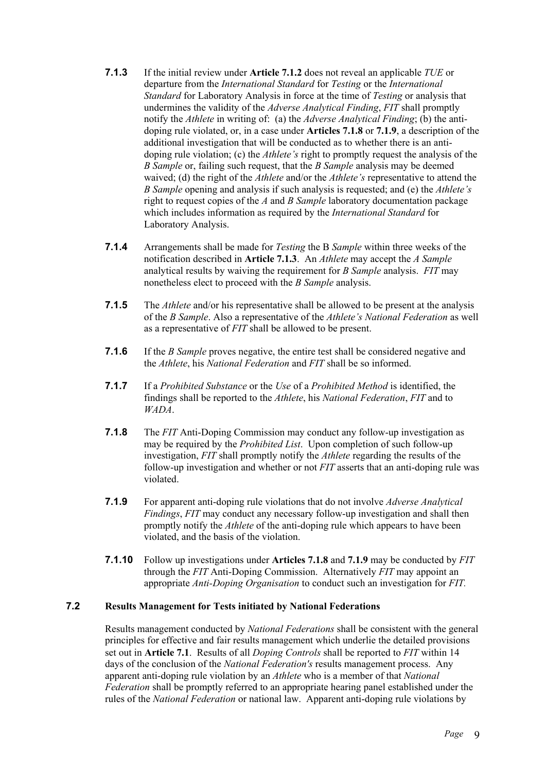- **7.1.3** If the initial review under **Article 7.1.2** does not reveal an applicable *TUE* or departure from the *International Standard* for *Testing* or the *International Standard* for Laboratory Analysis in force at the time of *Testing* or analysis that undermines the validity of the *Adverse Analytical Finding*, *FIT* shall promptly notify the *Athlete* in writing of: (a) the *Adverse Analytical Finding*; (b) the antidoping rule violated, or, in a case under **Articles 7.1.8** or **7.1.9**, a description of the additional investigation that will be conducted as to whether there is an antidoping rule violation; (c) the *Athlete's* right to promptly request the analysis of the *B Sample* or, failing such request, that the *B Sample* analysis may be deemed waived; (d) the right of the *Athlete* and/or the *Athlete's* representative to attend the *B Sample* opening and analysis if such analysis is requested; and (e) the *Athlete's* right to request copies of the *A* and *B Sample* laboratory documentation package which includes information as required by the *International Standard* for Laboratory Analysis.
- **7.1.4** Arrangements shall be made for *Testing* the B *Sample* within three weeks of the notification described in **Article 7.1.3**. An *Athlete* may accept the *A Sample* analytical results by waiving the requirement for *B Sample* analysis. *FIT* may nonetheless elect to proceed with the *B Sample* analysis.
- **7.1.5** The *Athlete* and/or his representative shall be allowed to be present at the analysis of the *B Sample*. Also a representative of the *Athlete's National Federation* as well as a representative of *FIT* shall be allowed to be present.
- **7.1.6** If the *B Sample* proves negative, the entire test shall be considered negative and the *Athlete*, his *National Federation* and *FIT* shall be so informed.
- **7.1.7** If a *Prohibited Substance* or the *Use* of a *Prohibited Method* is identified, the findings shall be reported to the *Athlete*, his *National Federation*, *FIT* and to *WADA*.
- **7.1.8** The *FIT* Anti-Doping Commission may conduct any follow-up investigation as may be required by the *Prohibited List*. Upon completion of such follow-up investigation, *FIT* shall promptly notify the *Athlete* regarding the results of the follow-up investigation and whether or not *FIT* asserts that an anti-doping rule was violated.
- **7.1.9** For apparent anti-doping rule violations that do not involve *Adverse Analytical Findings*, *FIT* may conduct any necessary follow-up investigation and shall then promptly notify the *Athlete* of the anti-doping rule which appears to have been violated, and the basis of the violation.
- **7.1.10** Follow up investigations under **Articles 7.1.8** and **7.1.9** may be conducted by *FIT* through the *FIT* Anti-Doping Commission. Alternatively *FIT* may appoint an appropriate *Anti-Doping Organisation* to conduct such an investigation for *FIT.*

### **7.2 Results Management for Tests initiated by National Federations**

Results management conducted by *National Federations* shall be consistent with the general principles for effective and fair results management which underlie the detailed provisions set out in **Article 7.1**. Results of all *Doping Controls* shall be reported to *FIT* within 14 days of the conclusion of the *National Federation's* results management process. Any apparent anti-doping rule violation by an *Athlete* who is a member of that *National Federation* shall be promptly referred to an appropriate hearing panel established under the rules of the *National Federation* or national law. Apparent anti-doping rule violations by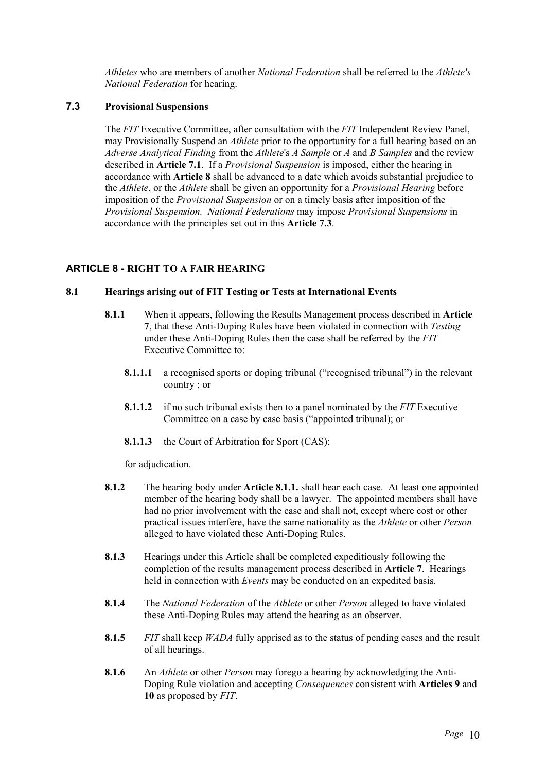*Athletes* who are members of another *National Federation* shall be referred to the *Athlete's National Federation* for hearing.

### **7.3 Provisional Suspensions**

The *FIT* Executive Committee, after consultation with the *FIT* Independent Review Panel, may Provisionally Suspend an *Athlete* prior to the opportunity for a full hearing based on an *Adverse Analytical Finding* from the *Athlete*'s *A Sample* or *A* and *B Samples* and the review described in **Article 7.1**. If a *Provisional Suspension* is imposed, either the hearing in accordance with **Article 8** shall be advanced to a date which avoids substantial prejudice to the *Athlete*, or the *Athlete* shall be given an opportunity for a *Provisional Hearing* before imposition of the *Provisional Suspension* or on a timely basis after imposition of the *Provisional Suspension. National Federations* may impose *Provisional Suspensions* in accordance with the principles set out in this **Article 7.3**.

### **ARTICLE 8 - RIGHT TO A FAIR HEARING**

### **8.1 Hearings arising out of FIT Testing or Tests at International Events**

- **8.1.1** When it appears, following the Results Management process described in **Article 7**, that these Anti-Doping Rules have been violated in connection with *Testing* under these Anti-Doping Rules then the case shall be referred by the *FIT* Executive Committee to:
	- **8.1.1.1** a recognised sports or doping tribunal ("recognised tribunal") in the relevant country ; or
	- **8.1.1.2** if no such tribunal exists then to a panel nominated by the *FIT* Executive Committee on a case by case basis ("appointed tribunal); or
	- **8.1.1.3** the Court of Arbitration for Sport (CAS);

for adjudication.

- **8.1.2** The hearing body under **Article 8.1.1.** shall hear each case. At least one appointed member of the hearing body shall be a lawyer. The appointed members shall have had no prior involvement with the case and shall not, except where cost or other practical issues interfere, have the same nationality as the *Athlete* or other *Person* alleged to have violated these Anti-Doping Rules.
- **8.1.3** Hearings under this Article shall be completed expeditiously following the completion of the results management process described in **Article 7**. Hearings held in connection with *Events* may be conducted on an expedited basis.
- **8.1.4** The *National Federation* of the *Athlete* or other *Person* alleged to have violated these Anti-Doping Rules may attend the hearing as an observer.
- **8.1.5** *FIT* shall keep *WADA* fully apprised as to the status of pending cases and the result of all hearings.
- **8.1.6** An *Athlete* or other *Person* may forego a hearing by acknowledging the Anti-Doping Rule violation and accepting *Consequences* consistent with **Articles 9** and **10** as proposed by *FIT*.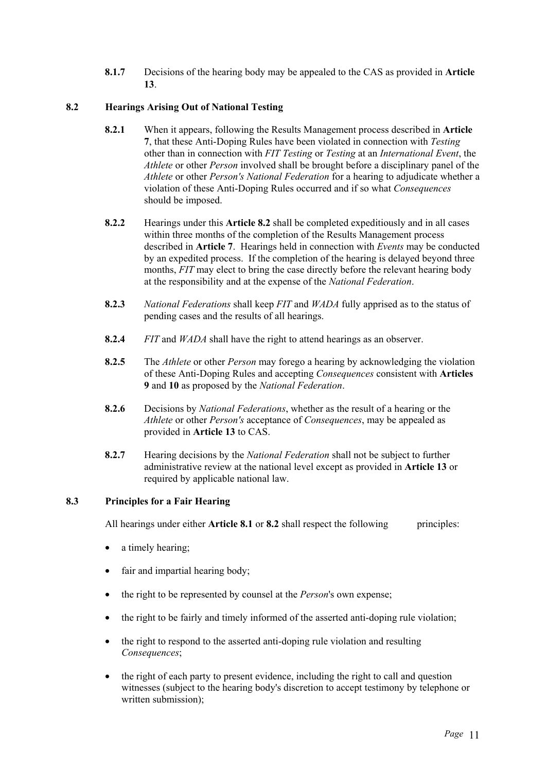**8.1.7** Decisions of the hearing body may be appealed to the CAS as provided in **Article 13**.

# **8.2 Hearings Arising Out of National Testing**

- **8.2.1** When it appears, following the Results Management process described in **Article 7**, that these Anti-Doping Rules have been violated in connection with *Testing* other than in connection with *FIT Testing* or *Testing* at an *International Event*, the *Athlete* or other *Person* involved shall be brought before a disciplinary panel of the *Athlete* or other *Person's National Federation* for a hearing to adjudicate whether a violation of these Anti-Doping Rules occurred and if so what *Consequences* should be imposed.
- **8.2.2** Hearings under this **Article 8.2** shall be completed expeditiously and in all cases within three months of the completion of the Results Management process described in **Article 7**. Hearings held in connection with *Events* may be conducted by an expedited process. If the completion of the hearing is delayed beyond three months, *FIT* may elect to bring the case directly before the relevant hearing body at the responsibility and at the expense of the *National Federation*.
- **8.2.3** *National Federations* shall keep *FIT* and *WADA* fully apprised as to the status of pending cases and the results of all hearings.
- **8.2.4** *FIT* and *WADA* shall have the right to attend hearings as an observer.
- **8.2.5** The *Athlete* or other *Person* may forego a hearing by acknowledging the violation of these Anti-Doping Rules and accepting *Consequences* consistent with **Articles 9** and **10** as proposed by the *National Federation*.
- **8.2.6** Decisions by *National Federations*, whether as the result of a hearing or the *Athlete* or other *Person's* acceptance of *Consequences*, may be appealed as provided in **Article 13** to CAS.
- **8.2.7** Hearing decisions by the *National Federation* shall not be subject to further administrative review at the national level except as provided in **Article 13** or required by applicable national law.

# **8.3 Principles for a Fair Hearing**

All hearings under either **Article 8.1** or **8.2** shall respect the following principles:

- a timely hearing:
- fair and impartial hearing body;
- the right to be represented by counsel at the *Person*'s own expense;
- the right to be fairly and timely informed of the asserted anti-doping rule violation;
- the right to respond to the asserted anti-doping rule violation and resulting *Consequences*;
- the right of each party to present evidence, including the right to call and question witnesses (subject to the hearing body's discretion to accept testimony by telephone or written submission);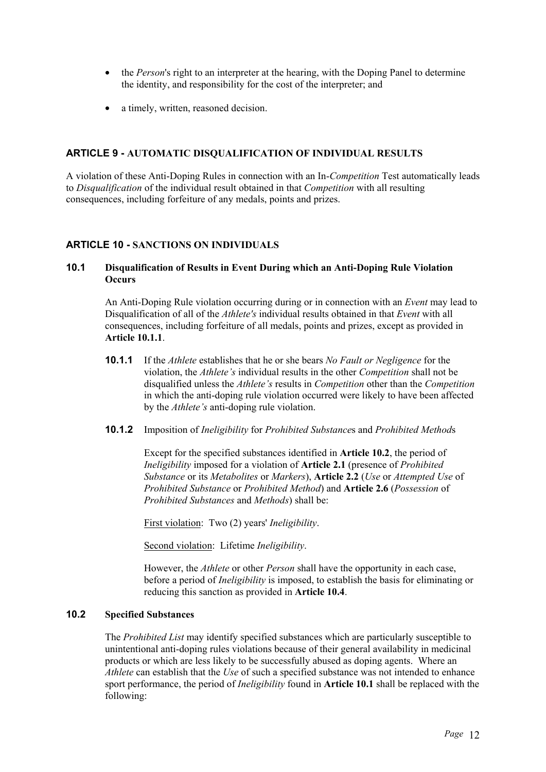- the *Person*'s right to an interpreter at the hearing, with the Doping Panel to determine the identity, and responsibility for the cost of the interpreter; and
- a timely, written, reasoned decision.

# **ARTICLE 9 - AUTOMATIC DISQUALIFICATION OF INDIVIDUAL RESULTS**

A violation of these Anti-Doping Rules in connection with an In-*Competition* Test automatically leads to *Disqualification* of the individual result obtained in that *Competition* with all resulting consequences, including forfeiture of any medals, points and prizes.

# **ARTICLE 10 - SANCTIONS ON INDIVIDUALS**

### **10.1 Disqualification of Results in Event During which an Anti-Doping Rule Violation Occurs**

An Anti-Doping Rule violation occurring during or in connection with an *Event* may lead to Disqualification of all of the *Athlete's* individual results obtained in that *Event* with all consequences, including forfeiture of all medals, points and prizes, except as provided in **Article 10.1.1**.

**10.1.1** If the *Athlete* establishes that he or she bears *No Fault or Negligence* for the violation, the *Athlete's* individual results in the other *Competition* shall not be disqualified unless the *Athlete's* results in *Competition* other than the *Competition* in which the anti-doping rule violation occurred were likely to have been affected by the *Athlete's* anti-doping rule violation.

### **10.1.2** Imposition of *Ineligibility* for *Prohibited Substance*s and *Prohibited Method*s

Except for the specified substances identified in **Article 10.2**, the period of *Ineligibility* imposed for a violation of **Article 2.1** (presence of *Prohibited Substance* or its *Metabolites* or *Markers*), **Article 2.2** (*Use* or *Attempted Use* of *Prohibited Substance* or *Prohibited Method*) and **Article 2.6** (*Possession* of *Prohibited Substances* and *Methods*) shall be:

First violation: Two (2) years' *Ineligibility*.

Second violation: Lifetime *Ineligibility*.

However, the *Athlete* or other *Person* shall have the opportunity in each case, before a period of *Ineligibility* is imposed, to establish the basis for eliminating or reducing this sanction as provided in **Article 10.4**.

# **10.2 Specified Substances**

The *Prohibited List* may identify specified substances which are particularly susceptible to unintentional anti-doping rules violations because of their general availability in medicinal products or which are less likely to be successfully abused as doping agents. Where an *Athlete* can establish that the *Use* of such a specified substance was not intended to enhance sport performance, the period of *Ineligibility* found in **Article 10.1** shall be replaced with the following: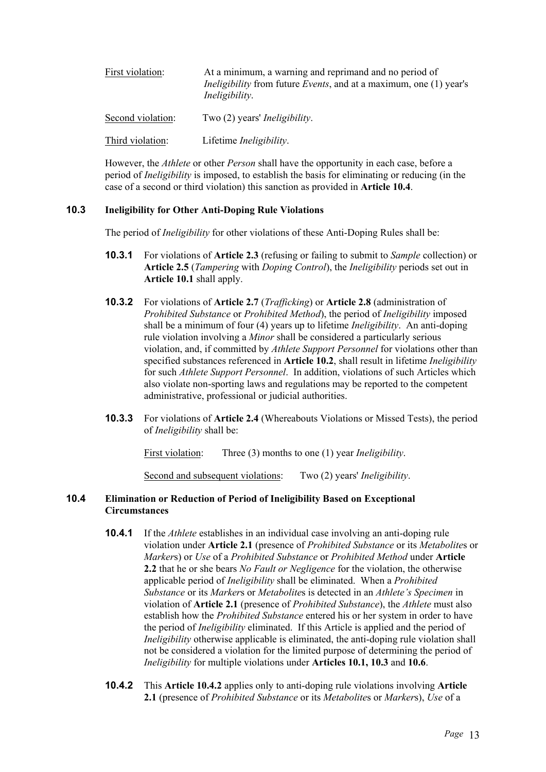| First violation:  | At a minimum, a warning and reprimand and no period of<br><i>Ineligibility</i> from future <i>Events</i> , and at a maximum, one (1) year's<br>Ineligibility. |
|-------------------|---------------------------------------------------------------------------------------------------------------------------------------------------------------|
| Second violation: | Two (2) years' <i>Ineligibility</i> .                                                                                                                         |
| Third violation:  | Lifetime <i>Ineligibility</i> .                                                                                                                               |

However, the *Athlete* or other *Person* shall have the opportunity in each case, before a period of *Ineligibility* is imposed, to establish the basis for eliminating or reducing (in the case of a second or third violation) this sanction as provided in **Article 10.4**.

### **10.3 Ineligibility for Other Anti-Doping Rule Violations**

The period of *Ineligibility* for other violations of these Anti-Doping Rules shall be:

- **10.3.1** For violations of **Article 2.3** (refusing or failing to submit to *Sample* collection) or **Article 2.5** (*Tampering* with *Doping Control*), the *Ineligibility* periods set out in **Article 10.1** shall apply.
- **10.3.2** For violations of **Article 2.7** (*Trafficking*) or **Article 2.8** (administration of *Prohibited Substance* or *Prohibited Method*), the period of *Ineligibility* imposed shall be a minimum of four (4) years up to lifetime *Ineligibility*. An anti-doping rule violation involving a *Minor* shall be considered a particularly serious violation, and, if committed by *Athlete Support Personnel* for violations other than specified substances referenced in **Article 10.2**, shall result in lifetime *Ineligibility* for such *Athlete Support Personnel*. In addition, violations of such Articles which also violate non-sporting laws and regulations may be reported to the competent administrative, professional or judicial authorities.
- **10.3.3** For violations of **Article 2.4** (Whereabouts Violations or Missed Tests), the period of *Ineligibility* shall be:

First violation: Three (3) months to one (1) year *Ineligibility*.

Second and subsequent violations: Two (2) years' *Ineligibility*.

### **10.4 Elimination or Reduction of Period of Ineligibility Based on Exceptional Circumstances**

- **10.4.1** If the *Athlete* establishes in an individual case involving an anti-doping rule violation under **Article 2.1** (presence of *Prohibited Substance* or its *Metabolite*s or *Marker*s) or *Use* of a *Prohibited Substance* or *Prohibited Method* under **Article 2.2** that he or she bears *No Fault or Negligence* for the violation, the otherwise applicable period of *Ineligibility* shall be eliminated. When a *Prohibited Substance* or its *Marker*s or *Metabolite*s is detected in an *Athlete's Specimen* in violation of **Article 2.1** (presence of *Prohibited Substance*), the *Athlete* must also establish how the *Prohibited Substance* entered his or her system in order to have the period of *Ineligibility* eliminated. If this Article is applied and the period of *Ineligibility* otherwise applicable is eliminated, the anti-doping rule violation shall not be considered a violation for the limited purpose of determining the period of *Ineligibility* for multiple violations under **Articles 10.1, 10.3** and **10.6**.
- **10.4.2** This **Article 10.4.2** applies only to anti-doping rule violations involving **Article 2.1** (presence of *Prohibited Substance* or its *Metabolite*s or *Marker*s), *Use* of a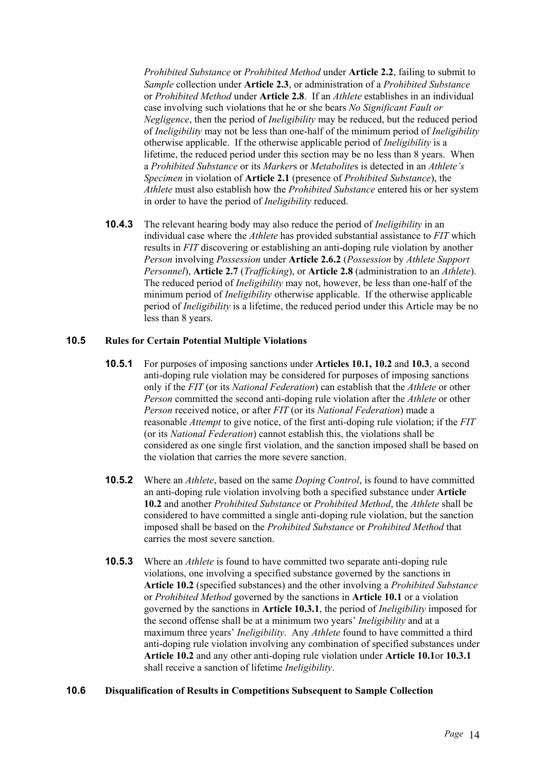*Prohibited Substance* or *Prohibited Method* under **Article 2.2**, failing to submit to *Sample* collection under **Article 2.3**, or administration of a *Prohibited Substance* or *Prohibited Method* under **Article 2.8**. If an *Athlete* establishes in an individual case involving such violations that he or she bears *No Significant Fault or Negligence*, then the period of *Ineligibility* may be reduced, but the reduced period of *Ineligibility* may not be less than one-half of the minimum period of *Ineligibility* otherwise applicable. If the otherwise applicable period of *Ineligibility* is a lifetime, the reduced period under this section may be no less than 8 years. When a *Prohibited Substance* or its *Marker*s or *Metabolite*s is detected in an *Athlete's Specimen* in violation of **Article 2.1** (presence of *Prohibited Substance*), the *Athlete* must also establish how the *Prohibited Substance* entered his or her system in order to have the period of *Ineligibility* reduced.

**10.4.3** The relevant hearing body may also reduce the period of *Ineligibility* in an individual case where the *Athlete* has provided substantial assistance to *FIT* which results in *FIT* discovering or establishing an anti-doping rule violation by another *Person* involving *Possession* under **Article 2.6.2** (*Possession* by *Athlete Support Personnel*), **Article 2.7** (*Trafficking*), or **Article 2.8** (administration to an *Athlete*). The reduced period of *Ineligibility* may not, however, be less than one-half of the minimum period of *Ineligibility* otherwise applicable. If the otherwise applicable period of *Ineligibility* is a lifetime, the reduced period under this Article may be no less than 8 years.

### **10.5 Rules for Certain Potential Multiple Violations**

- **10.5.1** For purposes of imposing sanctions under **Articles 10.1, 10.2** and **10.3**, a second anti-doping rule violation may be considered for purposes of imposing sanctions only if the *FIT* (or its *National Federation*) can establish that the *Athlete* or other *Person* committed the second anti-doping rule violation after the *Athlete* or other *Person* received notice, or after *FIT* (or its *National Federation*) made a reasonable *Attempt* to give notice, of the first anti-doping rule violation; if the *FIT* (or its *National Federation*) cannot establish this, the violations shall be considered as one single first violation, and the sanction imposed shall be based on the violation that carries the more severe sanction.
- **10.5.2** Where an *Athlete*, based on the same *Doping Control*, is found to have committed an anti-doping rule violation involving both a specified substance under **Article 10.2** and another *Prohibited Substance* or *Prohibited Method*, the *Athlete* shall be considered to have committed a single anti-doping rule violation, but the sanction imposed shall be based on the *Prohibited Substance* or *Prohibited Method* that carries the most severe sanction.
- **10.5.3** Where an *Athlete* is found to have committed two separate anti-doping rule violations, one involving a specified substance governed by the sanctions in **Article 10.2** (specified substances) and the other involving a *Prohibited Substance* or *Prohibited Method* governed by the sanctions in **Article 10.1** or a violation governed by the sanctions in **Article 10.3.1**, the period of *Ineligibility* imposed for the second offense shall be at a minimum two years' *Ineligibility* and at a maximum three years' *Ineligibility*. Any *Athlete* found to have committed a third anti-doping rule violation involving any combination of specified substances under **Article 10.2** and any other anti-doping rule violation under **Article 10.1**or **10.3.1**  shall receive a sanction of lifetime *Ineligibility*.

### **10.6 Disqualification of Results in Competitions Subsequent to Sample Collection**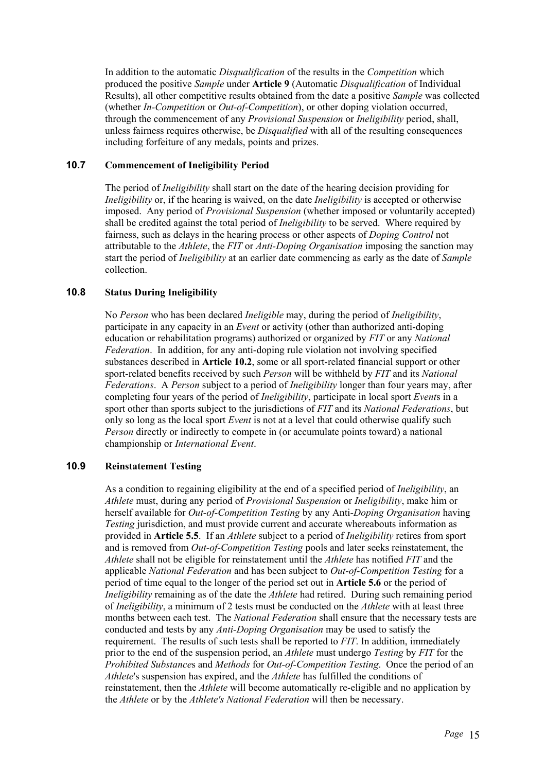In addition to the automatic *Disqualification* of the results in the *Competition* which produced the positive *Sample* under **Article 9** (Automatic *Disqualification* of Individual Results), all other competitive results obtained from the date a positive *Sample* was collected (whether *In-Competition* or *Out-of-Competition*), or other doping violation occurred, through the commencement of any *Provisional Suspension* or *Ineligibility* period, shall, unless fairness requires otherwise, be *Disqualified* with all of the resulting consequences including forfeiture of any medals, points and prizes.

### **10.7 Commencement of Ineligibility Period**

The period of *Ineligibility* shall start on the date of the hearing decision providing for *Ineligibility* or, if the hearing is waived, on the date *Ineligibility* is accepted or otherwise imposed. Any period of *Provisional Suspension* (whether imposed or voluntarily accepted) shall be credited against the total period of *Ineligibility* to be served. Where required by fairness, such as delays in the hearing process or other aspects of *Doping Control* not attributable to the *Athlete*, the *FIT* or *Anti-Doping Organisation* imposing the sanction may start the period of *Ineligibility* at an earlier date commencing as early as the date of *Sample*  collection.

### **10.8 Status During Ineligibility**

No *Person* who has been declared *Ineligible* may, during the period of *Ineligibility*, participate in any capacity in an *Event* or activity (other than authorized anti-doping education or rehabilitation programs) authorized or organized by *FIT* or any *National Federation*. In addition, for any anti-doping rule violation not involving specified substances described in **Article 10.2**, some or all sport-related financial support or other sport-related benefits received by such *Person* will be withheld by *FIT* and its *National Federations*. A *Person* subject to a period of *Ineligibility* longer than four years may, after completing four years of the period of *Ineligibility*, participate in local sport *Event*s in a sport other than sports subject to the jurisdictions of *FIT* and its *National Federations*, but only so long as the local sport *Event* is not at a level that could otherwise qualify such *Person* directly or indirectly to compete in (or accumulate points toward) a national championship or *International Event*.

### **10.9 Reinstatement Testing**

As a condition to regaining eligibility at the end of a specified period of *Ineligibility*, an *Athlete* must, during any period of *Provisional Suspension* or *Ineligibility*, make him or herself available for *Out-of-Competition Testing* by any Anti*-Doping Organisation* having *Testing* jurisdiction, and must provide current and accurate whereabouts information as provided in **Article 5.5**. If an *Athlete* subject to a period of *Ineligibility* retires from sport and is removed from *Out-of-Competition Testing* pools and later seeks reinstatement, the *Athlete* shall not be eligible for reinstatement until the *Athlete* has notified *FIT* and the applicable *National Federation* and has been subject to *Out-of-Competition Testing* for a period of time equal to the longer of the period set out in **Article 5.6** or the period of *Ineligibility* remaining as of the date the *Athlete* had retired. During such remaining period of *Ineligibility*, a minimum of 2 tests must be conducted on the *Athlete* with at least three months between each test. The *National Federation* shall ensure that the necessary tests are conducted and tests by any *Anti-Doping Organisation* may be used to satisfy the requirement. The results of such tests shall be reported to *FIT*. In addition, immediately prior to the end of the suspension period, an *Athlete* must undergo *Testing* by *FIT* for the *Prohibited Substance*s and *Methods* for *Out-of-Competition Testing*. Once the period of an *Athlete*'s suspension has expired, and the *Athlete* has fulfilled the conditions of reinstatement, then the *Athlete* will become automatically re-eligible and no application by the *Athlete* or by the *Athlete's National Federation* will then be necessary.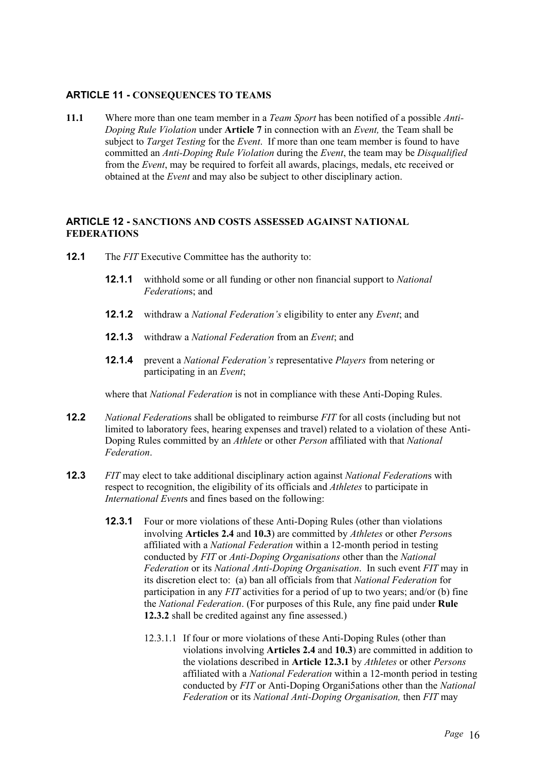# **ARTICLE 11 - CONSEQUENCES TO TEAMS**

**11.1** Where more than one team member in a *Team Sport* has been notified of a possible *Anti-Doping Rule Violation* under **Article 7** in connection with an *Event,* the Team shall be subject to *Target Testing* for the *Event*. If more than one team member is found to have committed an *Anti-Doping Rule Violation* during the *Event*, the team may be *Disqualified* from the *Event*, may be required to forfeit all awards, placings, medals, etc received or obtained at the *Event* and may also be subject to other disciplinary action.

# **ARTICLE 12 - SANCTIONS AND COSTS ASSESSED AGAINST NATIONAL FEDERATIONS**

- **12.1** The *FIT* Executive Committee has the authority to:
	- **12.1.1** withhold some or all funding or other non financial support to *National Federation*s; and
	- **12.1.2** withdraw a *National Federation's* eligibility to enter any *Event*; and
	- **12.1.3** withdraw a *National Federation* from an *Event*; and
	- **12.1.4** prevent a *National Federation's* representative *Players* from netering or participating in an *Event*;

where that *National Federation* is not in compliance with these Anti-Doping Rules.

- **12.2** *National Federation*s shall be obligated to reimburse *FIT* for all costs (including but not limited to laboratory fees, hearing expenses and travel) related to a violation of these Anti-Doping Rules committed by an *Athlete* or other *Person* affiliated with that *National Federation*.
- **12.3** *FIT* may elect to take additional disciplinary action against *National Federation*s with respect to recognition, the eligibility of its officials and *Athletes* to participate in *International Event*s and fines based on the following:
	- **12.3.1** Four or more violations of these Anti-Doping Rules (other than violations involving **Articles 2.4** and **10.3**) are committed by *Athletes* or other *Person*s affiliated with a *National Federation* within a 12-month period in testing conducted by *FIT* or *Anti-Doping Organisations* other than the *National Federation* or its *National Anti-Doping Organisation*. In such event *FIT* may in its discretion elect to: (a) ban all officials from that *National Federation* for participation in any *FIT* activities for a period of up to two years; and/or (b) fine the *National Federation*. (For purposes of this Rule, any fine paid under **Rule 12.3.2** shall be credited against any fine assessed.)
		- 12.3.1.1 If four or more violations of these Anti-Doping Rules (other than violations involving **Articles 2.4** and **10.3**) are committed in addition to the violations described in **Article 12.3.1** by *Athletes* or other *Persons* affiliated with a *National Federation* within a 12-month period in testing conducted by *FIT* or Anti-Doping Organi5ations other than the *National Federation* or its *National Anti-Doping Organisation,* then *FIT* may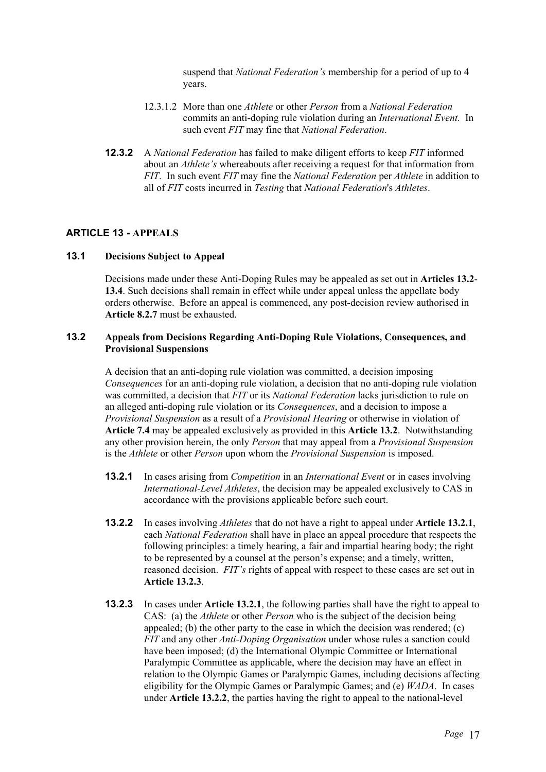suspend that *National Federation's* membership for a period of up to 4 years.

- 12.3.1.2 More than one *Athlete* or other *Person* from a *National Federation* commits an anti-doping rule violation during an *International Event.* In such event *FIT* may fine that *National Federation*.
- **12.3.2** A *National Federation* has failed to make diligent efforts to keep *FIT* informed about an *Athlete's* whereabouts after receiving a request for that information from *FIT*. In such event *FIT* may fine the *National Federation* per *Athlete* in addition to all of *FIT* costs incurred in *Testing* that *National Federation*'s *Athletes*.

### **ARTICLE 13 - APPEALS**

# **13.1 Decisions Subject to Appeal**

Decisions made under these Anti-Doping Rules may be appealed as set out in **Articles 13.2**- **13.4**. Such decisions shall remain in effect while under appeal unless the appellate body orders otherwise. Before an appeal is commenced, any post-decision review authorised in **Article 8.2.7** must be exhausted.

### **13.2 Appeals from Decisions Regarding Anti-Doping Rule Violations, Consequences, and Provisional Suspensions**

A decision that an anti-doping rule violation was committed, a decision imposing *Consequences* for an anti-doping rule violation, a decision that no anti-doping rule violation was committed, a decision that *FIT* or its *National Federation* lacks jurisdiction to rule on an alleged anti-doping rule violation or its *Consequences*, and a decision to impose a *Provisional Suspension* as a result of a *Provisional Hearing* or otherwise in violation of **Article 7.4** may be appealed exclusively as provided in this **Article 13.2**. Notwithstanding any other provision herein, the only *Person* that may appeal from a *Provisional Suspension* is the *Athlete* or other *Person* upon whom the *Provisional Suspension* is imposed.

- **13.2.1** In cases arising from *Competition* in an *International Event* or in cases involving *International-Level Athletes*, the decision may be appealed exclusively to CAS in accordance with the provisions applicable before such court.
- **13.2.2** In cases involving *Athletes* that do not have a right to appeal under **Article 13.2.1**, each *National Federation* shall have in place an appeal procedure that respects the following principles: a timely hearing, a fair and impartial hearing body; the right to be represented by a counsel at the person's expense; and a timely, written, reasoned decision. *FIT's* rights of appeal with respect to these cases are set out in **Article 13.2.3**.
- **13.2.3** In cases under **Article 13.2.1**, the following parties shall have the right to appeal to CAS: (a) the *Athlete* or other *Person* who is the subject of the decision being appealed; (b) the other party to the case in which the decision was rendered; (c) *FIT* and any other *Anti-Doping Organisation* under whose rules a sanction could have been imposed; (d) the International Olympic Committee or International Paralympic Committee as applicable, where the decision may have an effect in relation to the Olympic Games or Paralympic Games, including decisions affecting eligibility for the Olympic Games or Paralympic Games; and (e) *WADA*. In cases under **Article 13.2.2**, the parties having the right to appeal to the national-level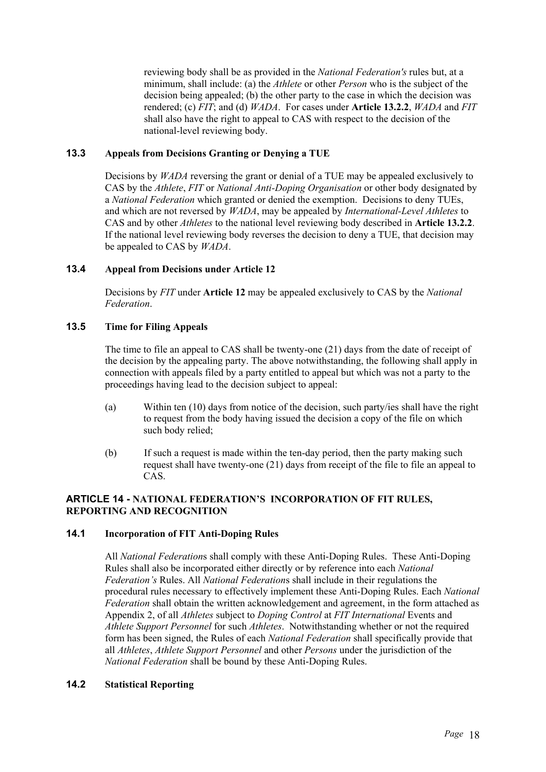reviewing body shall be as provided in the *National Federation's* rules but, at a minimum, shall include: (a) the *Athlete* or other *Person* who is the subject of the decision being appealed; (b) the other party to the case in which the decision was rendered; (c) *FIT*; and (d) *WADA*. For cases under **Article 13.2.2**, *WADA* and *FIT* shall also have the right to appeal to CAS with respect to the decision of the national-level reviewing body.

# **13.3 Appeals from Decisions Granting or Denying a TUE**

Decisions by *WADA* reversing the grant or denial of a TUE may be appealed exclusively to CAS by the *Athlete*, *FIT* or *National Anti-Doping Organisation* or other body designated by a *National Federation* which granted or denied the exemption. Decisions to deny TUEs, and which are not reversed by *WADA*, may be appealed by *International-Level Athletes* to CAS and by other *Athletes* to the national level reviewing body described in **Article 13.2.2**. If the national level reviewing body reverses the decision to deny a TUE, that decision may be appealed to CAS by *WADA*.

### **13.4 Appeal from Decisions under Article 12**

Decisions by *FIT* under **Article 12** may be appealed exclusively to CAS by the *National Federation*.

# **13.5 Time for Filing Appeals**

The time to file an appeal to CAS shall be twenty-one (21) days from the date of receipt of the decision by the appealing party. The above notwithstanding, the following shall apply in connection with appeals filed by a party entitled to appeal but which was not a party to the proceedings having lead to the decision subject to appeal:

- (a) Within ten (10) days from notice of the decision, such party/ies shall have the right to request from the body having issued the decision a copy of the file on which such body relied;
- (b) If such a request is made within the ten-day period, then the party making such request shall have twenty-one (21) days from receipt of the file to file an appeal to CAS.

### **ARTICLE 14 - NATIONAL FEDERATION'S INCORPORATION OF FIT RULES, REPORTING AND RECOGNITION**

### **14.1 Incorporation of FIT Anti-Doping Rules**

All *National Federation*s shall comply with these Anti-Doping Rules. These Anti-Doping Rules shall also be incorporated either directly or by reference into each *National Federation's* Rules. All *National Federation*s shall include in their regulations the procedural rules necessary to effectively implement these Anti-Doping Rules. Each *National Federation* shall obtain the written acknowledgement and agreement, in the form attached as Appendix 2, of all *Athletes* subject to *Doping Control* at *FIT International* Events and *Athlete Support Personnel* for such *Athletes*. Notwithstanding whether or not the required form has been signed, the Rules of each *National Federation* shall specifically provide that all *Athletes*, *Athlete Support Personnel* and other *Persons* under the jurisdiction of the *National Federation* shall be bound by these Anti-Doping Rules.

### **14.2 Statistical Reporting**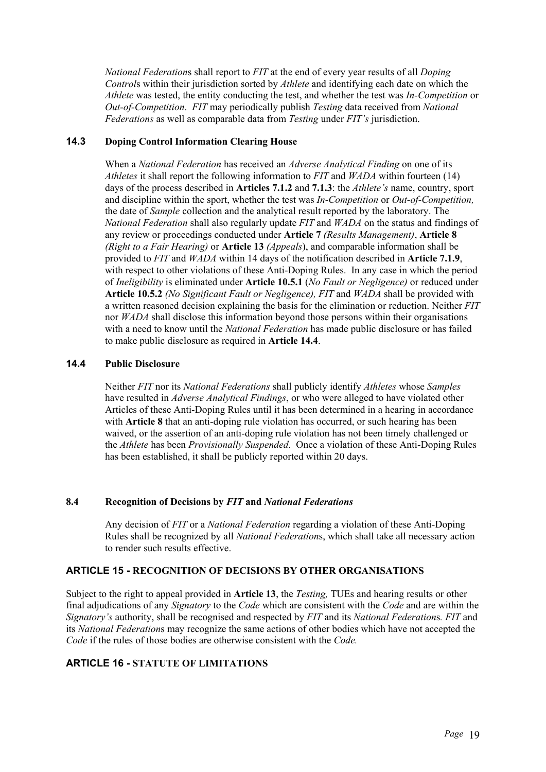*National Federation*s shall report to *FIT* at the end of every year results of all *Doping Control*s within their jurisdiction sorted by *Athlete* and identifying each date on which the *Athlete* was tested, the entity conducting the test, and whether the test was *In-Competition* or *Out-of-Competition*. *FIT* may periodically publish *Testing* data received from *National Federations* as well as comparable data from *Testing* under *FIT's* jurisdiction.

# **14.3 Doping Control Information Clearing House**

When a *National Federation* has received an *Adverse Analytical Finding* on one of its *Athletes* it shall report the following information to *FIT* and *WADA* within fourteen (14) days of the process described in **Articles 7.1.2** and **7.1.3**: the *Athlete's* name, country, sport and discipline within the sport, whether the test was *In-Competition* or *Out-of-Competition,* the date of *Sample* collection and the analytical result reported by the laboratory. The *National Federation* shall also regularly update *FIT* and *WADA* on the status and findings of any review or proceedings conducted under **Article 7** *(Results Management)*, **Article 8**  *(Right to a Fair Hearing)* or **Article 13** *(Appeals*), and comparable information shall be provided to *FIT* and *WADA* within 14 days of the notification described in **Article 7.1.9**, with respect to other violations of these Anti-Doping Rules. In any case in which the period of *Ineligibility* is eliminated under **Article 10.5.1** (*No Fault or Negligence)* or reduced under **Article 10.5.2** *(No Significant Fault or Negligence), FIT* and *WADA* shall be provided with a written reasoned decision explaining the basis for the elimination or reduction. Neither *FIT* nor *WADA* shall disclose this information beyond those persons within their organisations with a need to know until the *National Federation* has made public disclosure or has failed to make public disclosure as required in **Article 14.4**.

# **14.4 Public Disclosure**

Neither *FIT* nor its *National Federations* shall publicly identify *Athletes* whose *Samples* have resulted in *Adverse Analytical Findings*, or who were alleged to have violated other Articles of these Anti-Doping Rules until it has been determined in a hearing in accordance with **Article 8** that an anti-doping rule violation has occurred, or such hearing has been waived, or the assertion of an anti-doping rule violation has not been timely challenged or the *Athlete* has been *Provisionally Suspended*. Once a violation of these Anti-Doping Rules has been established, it shall be publicly reported within 20 days.

### **8.4 Recognition of Decisions by** *FIT* **and** *National Federations*

Any decision of *FIT* or a *National Federation* regarding a violation of these Anti-Doping Rules shall be recognized by all *National Federation*s, which shall take all necessary action to render such results effective.

# **ARTICLE 15 - RECOGNITION OF DECISIONS BY OTHER ORGANISATIONS**

Subject to the right to appeal provided in **Article 13**, the *Testing,* TUEs and hearing results or other final adjudications of any *Signatory* to the *Code* which are consistent with the *Code* and are within the *Signatory's* authority, shall be recognised and respected by *FIT* and its *National Federation*s*. FIT* and its *National Federation*s may recognize the same actions of other bodies which have not accepted the *Code* if the rules of those bodies are otherwise consistent with the *Code.* 

# **ARTICLE 16 - STATUTE OF LIMITATIONS**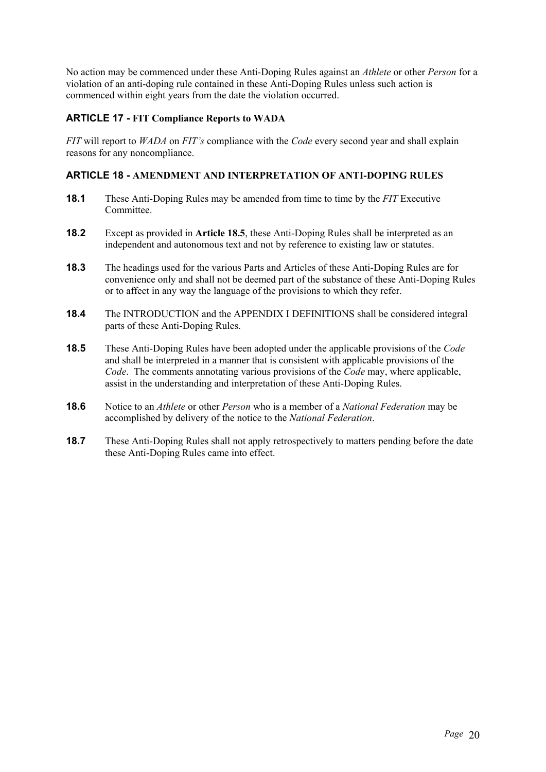No action may be commenced under these Anti-Doping Rules against an *Athlete* or other *Person* for a violation of an anti-doping rule contained in these Anti-Doping Rules unless such action is commenced within eight years from the date the violation occurred.

# **ARTICLE 17 - FIT Compliance Reports to WADA**

*FIT* will report to *WADA* on *FIT's* compliance with the *Code* every second year and shall explain reasons for any noncompliance.

# **ARTICLE 18 - AMENDMENT AND INTERPRETATION OF ANTI-DOPING RULES**

- **18.1** These Anti-Doping Rules may be amended from time to time by the *FIT* Executive Committee.
- **18.2** Except as provided in **Article 18.5**, these Anti-Doping Rules shall be interpreted as an independent and autonomous text and not by reference to existing law or statutes.
- **18.3** The headings used for the various Parts and Articles of these Anti-Doping Rules are for convenience only and shall not be deemed part of the substance of these Anti-Doping Rules or to affect in any way the language of the provisions to which they refer.
- **18.4** The INTRODUCTION and the APPENDIX I DEFINITIONS shall be considered integral parts of these Anti-Doping Rules.
- **18.5** These Anti-Doping Rules have been adopted under the applicable provisions of the *Code* and shall be interpreted in a manner that is consistent with applicable provisions of the *Code*. The comments annotating various provisions of the *Code* may, where applicable, assist in the understanding and interpretation of these Anti-Doping Rules.
- **18.6** Notice to an *Athlete* or other *Person* who is a member of a *National Federation* may be accomplished by delivery of the notice to the *National Federation*.
- **18.7** These Anti-Doping Rules shall not apply retrospectively to matters pending before the date these Anti-Doping Rules came into effect.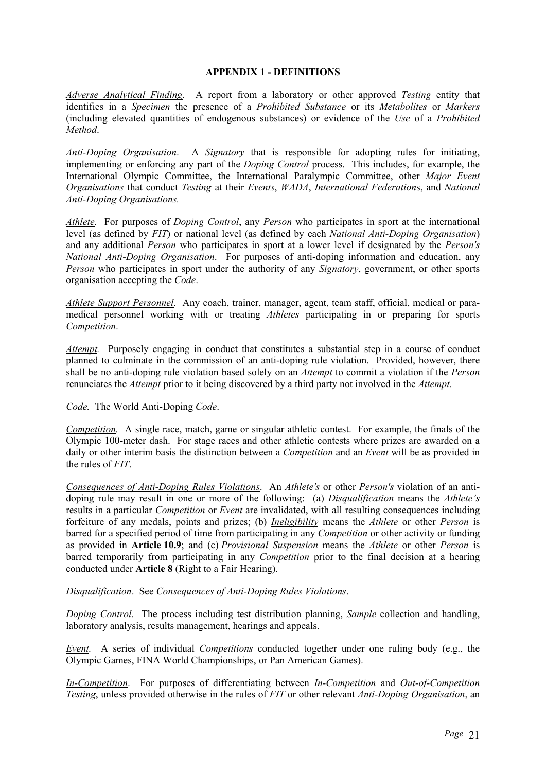#### **APPENDIX 1 - DEFINITIONS**

*Adverse Analytical Finding*. A report from a laboratory or other approved *Testing* entity that identifies in a *Specimen* the presence of a *Prohibited Substance* or its *Metabolites* or *Markers* (including elevated quantities of endogenous substances) or evidence of the *Use* of a *Prohibited Method*.

*Anti-Doping Organisation*. A *Signatory* that is responsible for adopting rules for initiating, implementing or enforcing any part of the *Doping Control* process. This includes, for example, the International Olympic Committee, the International Paralympic Committee, other *Major Event Organisations* that conduct *Testing* at their *Events*, *WADA*, *International Federation*s, and *National Anti-Doping Organisations.*

*Athlete*. For purposes of *Doping Control*, any *Person* who participates in sport at the international level (as defined by *FIT*) or national level (as defined by each *National Anti-Doping Organisation*) and any additional *Person* who participates in sport at a lower level if designated by the *Person's National Anti-Doping Organisation*. For purposes of anti-doping information and education, any *Person* who participates in sport under the authority of any *Signatory*, government, or other sports organisation accepting the *Code*.

*Athlete Support Personnel*. Any coach, trainer, manager, agent, team staff, official, medical or paramedical personnel working with or treating *Athletes* participating in or preparing for sports *Competition*.

*Attempt.* Purposely engaging in conduct that constitutes a substantial step in a course of conduct planned to culminate in the commission of an anti-doping rule violation. Provided, however, there shall be no anti-doping rule violation based solely on an *Attempt* to commit a violation if the *Person* renunciates the *Attempt* prior to it being discovered by a third party not involved in the *Attempt*.

*Code.* The World Anti-Doping *Code*.

*Competition.* A single race, match, game or singular athletic contest. For example, the finals of the Olympic 100-meter dash. For stage races and other athletic contests where prizes are awarded on a daily or other interim basis the distinction between a *Competition* and an *Event* will be as provided in the rules of *FIT*.

*Consequences of Anti-Doping Rules Violations*. An *Athlete's* or other *Person's* violation of an antidoping rule may result in one or more of the following: (a) *Disqualification* means the *Athlete's* results in a particular *Competition* or *Event* are invalidated, with all resulting consequences including forfeiture of any medals, points and prizes; (b) *Ineligibility* means the *Athlete* or other *Person* is barred for a specified period of time from participating in any *Competition* or other activity or funding as provided in **Article 10.9**; and (c) *Provisional Suspension* means the *Athlete* or other *Person* is barred temporarily from participating in any *Competition* prior to the final decision at a hearing conducted under **Article 8** (Right to a Fair Hearing).

*Disqualification*. See *Consequences of Anti-Doping Rules Violations*.

*Doping Control*. The process including test distribution planning, *Sample* collection and handling, laboratory analysis, results management, hearings and appeals.

*Event.* A series of individual *Competitions* conducted together under one ruling body (e.g., the Olympic Games, FINA World Championships, or Pan American Games).

*In-Competition*. For purposes of differentiating between *In-Competition* and *Out-of-Competition Testing*, unless provided otherwise in the rules of *FIT* or other relevant *Anti-Doping Organisation*, an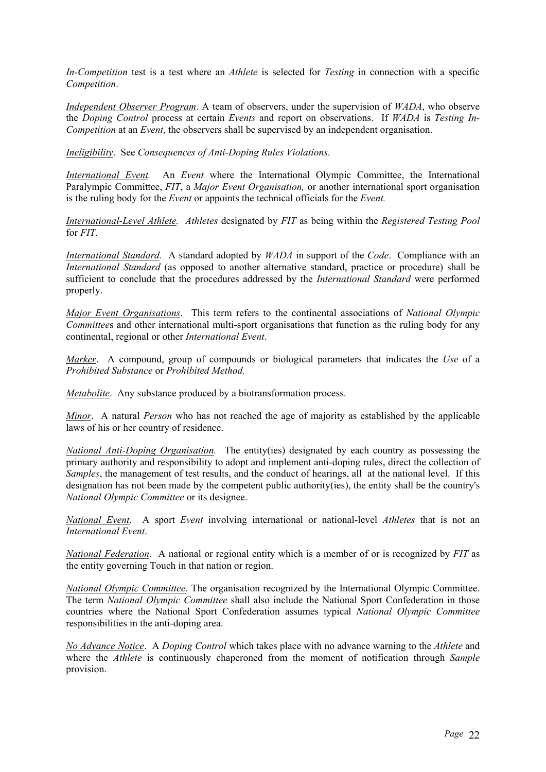*In-Competition* test is a test where an *Athlete* is selected for *Testing* in connection with a specific *Competition*.

*Independent Observer Program*. A team of observers, under the supervision of *WADA*, who observe the *Doping Control* process at certain *Events* and report on observations. If *WADA* is *Testing In-Competition* at an *Event*, the observers shall be supervised by an independent organisation.

*Ineligibility*. See *Consequences of Anti-Doping Rules Violations*.

*International Event.* An *Event* where the International Olympic Committee, the International Paralympic Committee, *FIT*, a *Major Event Organisation,* or another international sport organisation is the ruling body for the *Event* or appoints the technical officials for the *Event.* 

*International-Level Athlete. Athletes* designated by *FIT* as being within the *Registered Testing Pool* for *FIT*.

*International Standard.* A standard adopted by *WADA* in support of the *Code*. Compliance with an *International Standard* (as opposed to another alternative standard, practice or procedure) shall be sufficient to conclude that the procedures addressed by the *International Standard* were performed properly.

*Major Event Organisations*. This term refers to the continental associations of *National Olympic Committee*s and other international multi-sport organisations that function as the ruling body for any continental, regional or other *International Event*.

*Marker*. A compound, group of compounds or biological parameters that indicates the *Use* of a *Prohibited Substance* or *Prohibited Method.* 

*Metabolite*. Any substance produced by a biotransformation process.

*Minor*. A natural *Person* who has not reached the age of majority as established by the applicable laws of his or her country of residence.

*National Anti-Doping Organisation.* The entity(ies) designated by each country as possessing the primary authority and responsibility to adopt and implement anti-doping rules, direct the collection of *Samples*, the management of test results, and the conduct of hearings, all at the national level. If this designation has not been made by the competent public authority(ies), the entity shall be the country's *National Olympic Committee* or its designee.

*National Event*. A sport *Event* involving international or national-level *Athletes* that is not an *International Event*.

*National Federation*. A national or regional entity which is a member of or is recognized by *FIT* as the entity governing Touch in that nation or region.

*National Olympic Committee*. The organisation recognized by the International Olympic Committee. The term *National Olympic Committee* shall also include the National Sport Confederation in those countries where the National Sport Confederation assumes typical *National Olympic Committee* responsibilities in the anti-doping area.

*No Advance Notice*. A *Doping Control* which takes place with no advance warning to the *Athlete* and where the *Athlete* is continuously chaperoned from the moment of notification through *Sample* provision.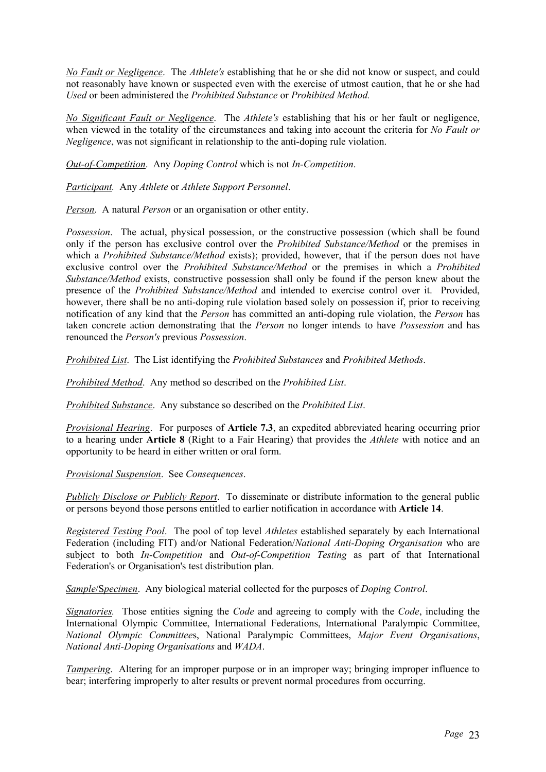*No Fault or Negligence*. The *Athlete's* establishing that he or she did not know or suspect, and could not reasonably have known or suspected even with the exercise of utmost caution, that he or she had *Used* or been administered the *Prohibited Substance* or *Prohibited Method.* 

*No Significant Fault or Negligence*. The *Athlete's* establishing that his or her fault or negligence, when viewed in the totality of the circumstances and taking into account the criteria for *No Fault or Negligence*, was not significant in relationship to the anti-doping rule violation.

*Out-of-Competition*. Any *Doping Control* which is not *In-Competition*.

*Participant.* Any *Athlete* or *Athlete Support Personnel*.

*Person*. A natural *Person* or an organisation or other entity.

*Possession*. The actual, physical possession, or the constructive possession (which shall be found only if the person has exclusive control over the *Prohibited Substance/Method* or the premises in which a *Prohibited Substance/Method* exists); provided, however, that if the person does not have exclusive control over the *Prohibited Substance/Method* or the premises in which a *Prohibited Substance/Method* exists, constructive possession shall only be found if the person knew about the presence of the *Prohibited Substance/Method* and intended to exercise control over it. Provided, however, there shall be no anti-doping rule violation based solely on possession if, prior to receiving notification of any kind that the *Person* has committed an anti-doping rule violation, the *Person* has taken concrete action demonstrating that the *Person* no longer intends to have *Possession* and has renounced the *Person's* previous *Possession*.

*Prohibited List*. The List identifying the *Prohibited Substances* and *Prohibited Methods*.

*Prohibited Method*. Any method so described on the *Prohibited List*.

*Prohibited Substance*. Any substance so described on the *Prohibited List*.

*Provisional Hearing*. For purposes of **Article 7.3**, an expedited abbreviated hearing occurring prior to a hearing under **Article 8** (Right to a Fair Hearing) that provides the *Athlete* with notice and an opportunity to be heard in either written or oral form.

*Provisional Suspension*. See *Consequences*.

*Publicly Disclose or Publicly Report*. To disseminate or distribute information to the general public or persons beyond those persons entitled to earlier notification in accordance with **Article 14**.

*Registered Testing Pool*. The pool of top level *Athletes* established separately by each International Federation (including FIT) and/or National Federation/*National Anti-Doping Organisation* who are subject to both *In-Competition* and *Out-of-Competition Testing* as part of that International Federation's or Organisation's test distribution plan.

*Sample*/S*pecimen*. Any biological material collected for the purposes of *Doping Control*.

*Signatories.* Those entities signing the *Code* and agreeing to comply with the *Code*, including the International Olympic Committee, International Federations, International Paralympic Committee, *National Olympic Committee*s, National Paralympic Committees, *Major Event Organisations*, *National Anti-Doping Organisations* and *WADA*.

*Tampering.* Altering for an improper purpose or in an improper way; bringing improper influence to bear; interfering improperly to alter results or prevent normal procedures from occurring.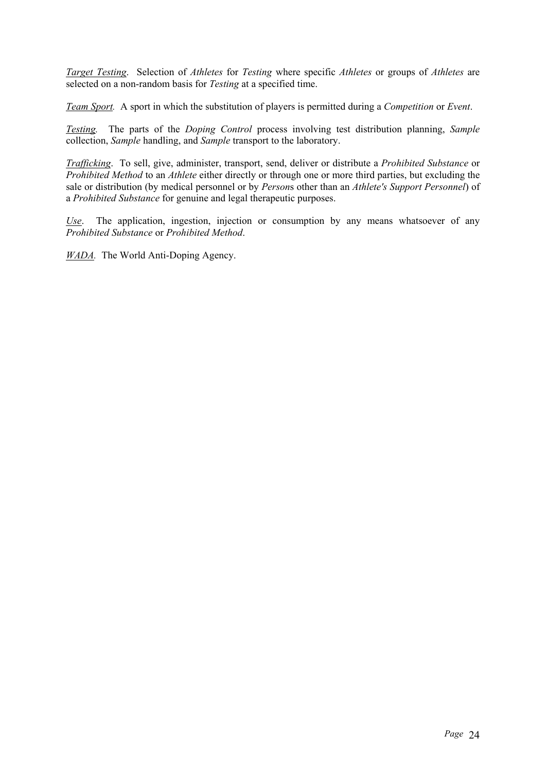*Target Testing*. Selection of *Athletes* for *Testing* where specific *Athletes* or groups of *Athletes* are selected on a non-random basis for *Testing* at a specified time.

*Team Sport.* A sport in which the substitution of players is permitted during a *Competition* or *Event*.

*Testing.* The parts of the *Doping Control* process involving test distribution planning, *Sample* collection, *Sample* handling, and *Sample* transport to the laboratory.

*Trafficking*. To sell, give, administer, transport, send, deliver or distribute a *Prohibited Substance* or *Prohibited Method* to an *Athlete* either directly or through one or more third parties, but excluding the sale or distribution (by medical personnel or by *Person*s other than an *Athlete's Support Personnel*) of a *Prohibited Substance* for genuine and legal therapeutic purposes.

*Use*. The application, ingestion, injection or consumption by any means whatsoever of any *Prohibited Substance* or *Prohibited Method*.

*WADA.* The World Anti-Doping Agency.